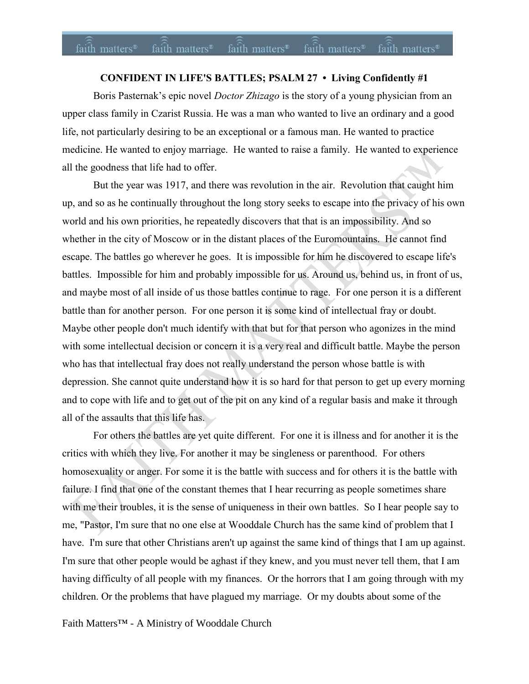## **CONFIDENT IN LIFE'S BATTLES; PSALM 27 • Living Confidently #1**

Boris Pasternak's epic novel *Doctor Zhizago* is the story of a young physician from an upper class family in Czarist Russia. He was a man who wanted to live an ordinary and a good life, not particularly desiring to be an exceptional or a famous man. He wanted to practice medicine. He wanted to enjoy marriage. He wanted to raise a family. He wanted to experience all the goodness that life had to offer.

But the year was 1917, and there was revolution in the air. Revolution that caught him up, and so as he continually throughout the long story seeks to escape into the privacy of his own world and his own priorities, he repeatedly discovers that that is an impossibility. And so whether in the city of Moscow or in the distant places of the Euromountains. He cannot find escape. The battles go wherever he goes. It is impossible for him he discovered to escape life's battles. Impossible for him and probably impossible for us. Around us, behind us, in front of us, and maybe most of all inside of us those battles continue to rage. For one person it is a different battle than for another person. For one person it is some kind of intellectual fray or doubt. Maybe other people don't much identify with that but for that person who agonizes in the mind with some intellectual decision or concern it is a very real and difficult battle. Maybe the person who has that intellectual fray does not really understand the person whose battle is with depression. She cannot quite understand how it is so hard for that person to get up every morning and to cope with life and to get out of the pit on any kind of a regular basis and make it through all of the assaults that this life has.

For others the battles are yet quite different. For one it is illness and for another it is the critics with which they live. For another it may be singleness or parenthood. For others homosexuality or anger. For some it is the battle with success and for others it is the battle with failure. I find that one of the constant themes that I hear recurring as people sometimes share with me their troubles, it is the sense of uniqueness in their own battles. So I hear people say to me, "Pastor, I'm sure that no one else at Wooddale Church has the same kind of problem that I have. I'm sure that other Christians aren't up against the same kind of things that I am up against. I'm sure that other people would be aghast if they knew, and you must never tell them, that I am having difficulty of all people with my finances. Or the horrors that I am going through with my children. Or the problems that have plagued my marriage. Or my doubts about some of the

Faith Matters™ - A Ministry of Wooddale Church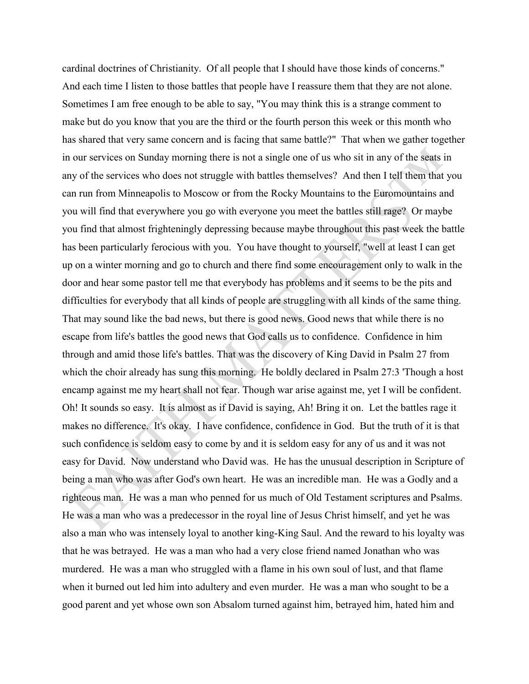cardinal doctrines of Christianity. Of all people that I should have those kinds of concerns." And each time I listen to those battles that people have I reassure them that they are not alone. Sometimes I am free enough to be able to say, "You may think this is a strange comment to make but do you know that you are the third or the fourth person this week or this month who has shared that very same concern and is facing that same battle?" That when we gather together in our services on Sunday morning there is not a single one of us who sit in any of the seats in any of the services who does not struggle with battles themselves? And then I tell them that you can run from Minneapolis to Moscow or from the Rocky Mountains to the Euromountains and you will find that everywhere you go with everyone you meet the battles still rage? Or maybe you find that almost frighteningly depressing because maybe throughout this past week the battle has been particularly ferocious with you. You have thought to yourself, "well at least I can get up on a winter morning and go to church and there find some encouragement only to walk in the door and hear some pastor tell me that everybody has problems and it seems to be the pits and difficulties for everybody that all kinds of people are struggling with all kinds of the same thing. That may sound like the bad news, but there is good news. Good news that while there is no escape from life's battles the good news that God calls us to confidence. Confidence in him through and amid those life's battles. That was the discovery of King David in Psalm 27 from which the choir already has sung this morning. He boldly declared in Psalm 27:3 'Though a host encamp against me my heart shall not fear. Though war arise against me, yet I will be confident. Oh! It sounds so easy. It is almost as if David is saying, Ah! Bring it on. Let the battles rage it makes no difference. It's okay. I have confidence, confidence in God. But the truth of it is that such confidence is seldom easy to come by and it is seldom easy for any of us and it was not easy for David. Now understand who David was. He has the unusual description in Scripture of being a man who was after God's own heart. He was an incredible man. He was a Godly and a righteous man. He was a man who penned for us much of Old Testament scriptures and Psalms. He was a man who was a predecessor in the royal line of Jesus Christ himself, and yet he was also a man who was intensely loyal to another king-King Saul. And the reward to his loyalty was that he was betrayed. He was a man who had a very close friend named Jonathan who was murdered. He was a man who struggled with a flame in his own soul of lust, and that flame when it burned out led him into adultery and even murder. He was a man who sought to be a good parent and yet whose own son Absalom turned against him, betrayed him, hated him and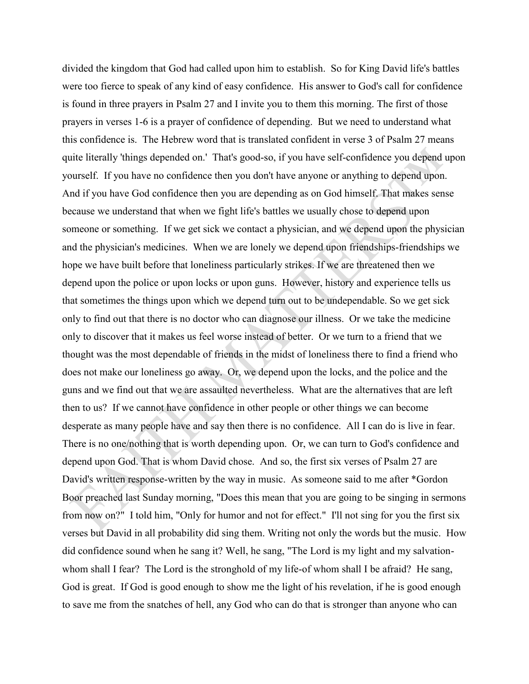divided the kingdom that God had called upon him to establish. So for King David life's battles were too fierce to speak of any kind of easy confidence. His answer to God's call for confidence is found in three prayers in Psalm 27 and I invite you to them this morning. The first of those prayers in verses 1-6 is a prayer of confidence of depending. But we need to understand what this confidence is. The Hebrew word that is translated confident in verse 3 of Psalm 27 means quite literally 'things depended on.' That's good-so, if you have self-confidence you depend upon yourself. If you have no confidence then you don't have anyone or anything to depend upon. And if you have God confidence then you are depending as on God himself. That makes sense because we understand that when we fight life's battles we usually chose to depend upon someone or something. If we get sick we contact a physician, and we depend upon the physician and the physician's medicines. When we are lonely we depend upon friendships-friendships we hope we have built before that loneliness particularly strikes. If we are threatened then we depend upon the police or upon locks or upon guns. However, history and experience tells us that sometimes the things upon which we depend turn out to be undependable. So we get sick only to find out that there is no doctor who can diagnose our illness. Or we take the medicine only to discover that it makes us feel worse instead of better. Or we turn to a friend that we thought was the most dependable of friends in the midst of loneliness there to find a friend who does not make our loneliness go away. Or, we depend upon the locks, and the police and the guns and we find out that we are assaulted nevertheless. What are the alternatives that are left then to us? If we cannot have confidence in other people or other things we can become desperate as many people have and say then there is no confidence. All I can do is live in fear. There is no one/nothing that is worth depending upon. Or, we can turn to God's confidence and depend upon God. That is whom David chose. And so, the first six verses of Psalm 27 are David's written response-written by the way in music. As someone said to me after \*Gordon Boor preached last Sunday morning, "Does this mean that you are going to be singing in sermons from now on?" I told him, "Only for humor and not for effect." I'll not sing for you the first six verses but David in all probability did sing them. Writing not only the words but the music. How did confidence sound when he sang it? Well, he sang, "The Lord is my light and my salvationwhom shall I fear? The Lord is the stronghold of my life-of whom shall I be afraid? He sang, God is great. If God is good enough to show me the light of his revelation, if he is good enough to save me from the snatches of hell, any God who can do that is stronger than anyone who can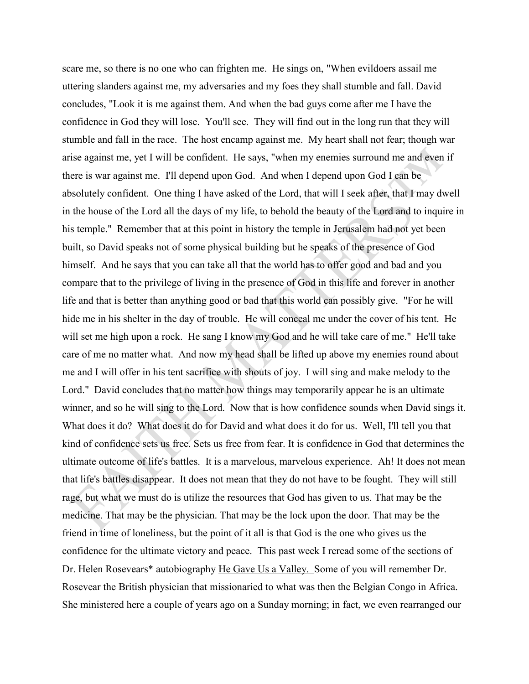scare me, so there is no one who can frighten me. He sings on, "When evildoers assail me uttering slanders against me, my adversaries and my foes they shall stumble and fall. David concludes, "Look it is me against them. And when the bad guys come after me I have the confidence in God they will lose. You'll see. They will find out in the long run that they will stumble and fall in the race. The host encamp against me. My heart shall not fear; though war arise against me, yet I will be confident. He says, "when my enemies surround me and even if there is war against me. I'll depend upon God. And when I depend upon God I can be absolutely confident. One thing I have asked of the Lord, that will I seek after, that I may dwell in the house of the Lord all the days of my life, to behold the beauty of the Lord and to inquire in his temple." Remember that at this point in history the temple in Jerusalem had not yet been built, so David speaks not of some physical building but he speaks of the presence of God himself. And he says that you can take all that the world has to offer good and bad and you compare that to the privilege of living in the presence of God in this life and forever in another life and that is better than anything good or bad that this world can possibly give. "For he will hide me in his shelter in the day of trouble. He will conceal me under the cover of his tent. He will set me high upon a rock. He sang I know my God and he will take care of me." He'll take care of me no matter what. And now my head shall be lifted up above my enemies round about me and I will offer in his tent sacrifice with shouts of joy. I will sing and make melody to the Lord." David concludes that no matter how things may temporarily appear he is an ultimate winner, and so he will sing to the Lord. Now that is how confidence sounds when David sings it. What does it do? What does it do for David and what does it do for us. Well, I'll tell you that kind of confidence sets us free. Sets us free from fear. It is confidence in God that determines the ultimate outcome of life's battles. It is a marvelous, marvelous experience. Ah! It does not mean that life's battles disappear. It does not mean that they do not have to be fought. They will still rage, but what we must do is utilize the resources that God has given to us. That may be the medicine. That may be the physician. That may be the lock upon the door. That may be the friend in time of loneliness, but the point of it all is that God is the one who gives us the confidence for the ultimate victory and peace. This past week I reread some of the sections of Dr. Helen Rosevears\* autobiography He Gave Us a Valley. Some of you will remember Dr. Rosevear the British physician that missionaried to what was then the Belgian Congo in Africa. She ministered here a couple of years ago on a Sunday morning; in fact, we even rearranged our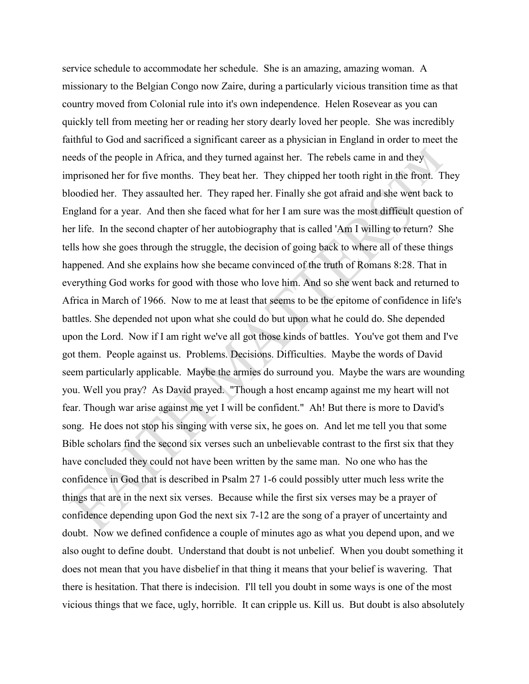service schedule to accommodate her schedule. She is an amazing, amazing woman. A missionary to the Belgian Congo now Zaire, during a particularly vicious transition time as that country moved from Colonial rule into it's own independence. Helen Rosevear as you can quickly tell from meeting her or reading her story dearly loved her people. She was incredibly faithful to God and sacrificed a significant career as a physician in England in order to meet the needs of the people in Africa, and they turned against her. The rebels came in and they imprisoned her for five months. They beat her. They chipped her tooth right in the front. They bloodied her. They assaulted her. They raped her. Finally she got afraid and she went back to England for a year. And then she faced what for her I am sure was the most difficult question of her life. In the second chapter of her autobiography that is called 'Am I willing to return? She tells how she goes through the struggle, the decision of going back to where all of these things happened. And she explains how she became convinced of the truth of Romans 8:28. That in everything God works for good with those who love him. And so she went back and returned to Africa in March of 1966. Now to me at least that seems to be the epitome of confidence in life's battles. She depended not upon what she could do but upon what he could do. She depended upon the Lord. Now if I am right we've all got those kinds of battles. You've got them and I've got them. People against us. Problems. Decisions. Difficulties. Maybe the words of David seem particularly applicable. Maybe the armies do surround you. Maybe the wars are wounding you. Well you pray? As David prayed. "Though a host encamp against me my heart will not fear. Though war arise against me yet I will be confident." Ah! But there is more to David's song. He does not stop his singing with verse six, he goes on. And let me tell you that some Bible scholars find the second six verses such an unbelievable contrast to the first six that they have concluded they could not have been written by the same man. No one who has the confidence in God that is described in Psalm 27 1-6 could possibly utter much less write the things that are in the next six verses. Because while the first six verses may be a prayer of confidence depending upon God the next six 7-12 are the song of a prayer of uncertainty and doubt. Now we defined confidence a couple of minutes ago as what you depend upon, and we also ought to define doubt. Understand that doubt is not unbelief. When you doubt something it does not mean that you have disbelief in that thing it means that your belief is wavering. That there is hesitation. That there is indecision. I'll tell you doubt in some ways is one of the most vicious things that we face, ugly, horrible. It can cripple us. Kill us. But doubt is also absolutely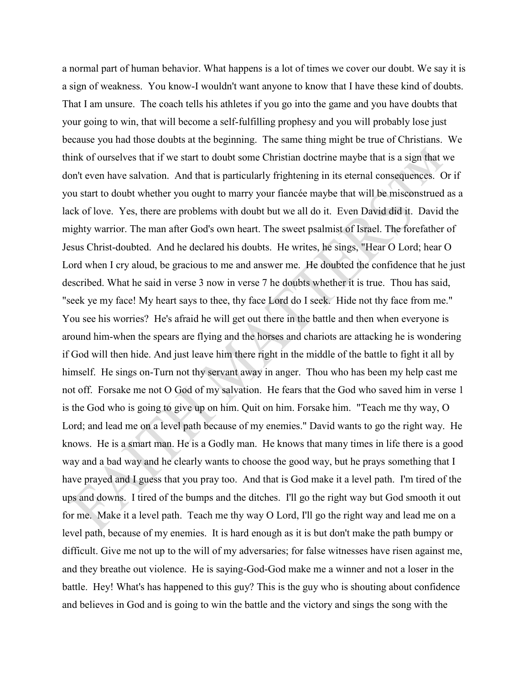a normal part of human behavior. What happens is a lot of times we cover our doubt. We say it is a sign of weakness. You know-I wouldn't want anyone to know that I have these kind of doubts. That I am unsure. The coach tells his athletes if you go into the game and you have doubts that your going to win, that will become a self-fulfilling prophesy and you will probably lose just because you had those doubts at the beginning. The same thing might be true of Christians. We think of ourselves that if we start to doubt some Christian doctrine maybe that is a sign that we don't even have salvation. And that is particularly frightening in its eternal consequences. Or if you start to doubt whether you ought to marry your fiancée maybe that will be misconstrued as a lack of love. Yes, there are problems with doubt but we all do it. Even David did it. David the mighty warrior. The man after God's own heart. The sweet psalmist of Israel. The forefather of Jesus Christ-doubted. And he declared his doubts. He writes, he sings, "Hear O Lord; hear O Lord when I cry aloud, be gracious to me and answer me. He doubted the confidence that he just described. What he said in verse 3 now in verse 7 he doubts whether it is true. Thou has said, "seek ye my face! My heart says to thee, thy face Lord do I seek. Hide not thy face from me." You see his worries? He's afraid he will get out there in the battle and then when everyone is around him-when the spears are flying and the horses and chariots are attacking he is wondering if God will then hide. And just leave him there right in the middle of the battle to fight it all by himself. He sings on-Turn not thy servant away in anger. Thou who has been my help cast me not off. Forsake me not O God of my salvation. He fears that the God who saved him in verse 1 is the God who is going to give up on him. Quit on him. Forsake him. "Teach me thy way, O Lord; and lead me on a level path because of my enemies." David wants to go the right way. He knows. He is a smart man. He is a Godly man. He knows that many times in life there is a good way and a bad way and he clearly wants to choose the good way, but he prays something that I have prayed and I guess that you pray too. And that is God make it a level path. I'm tired of the ups and downs. I tired of the bumps and the ditches. I'll go the right way but God smooth it out for me. Make it a level path. Teach me thy way O Lord, I'll go the right way and lead me on a level path, because of my enemies. It is hard enough as it is but don't make the path bumpy or difficult. Give me not up to the will of my adversaries; for false witnesses have risen against me, and they breathe out violence. He is saying-God-God make me a winner and not a loser in the battle. Hey! What's has happened to this guy? This is the guy who is shouting about confidence and believes in God and is going to win the battle and the victory and sings the song with the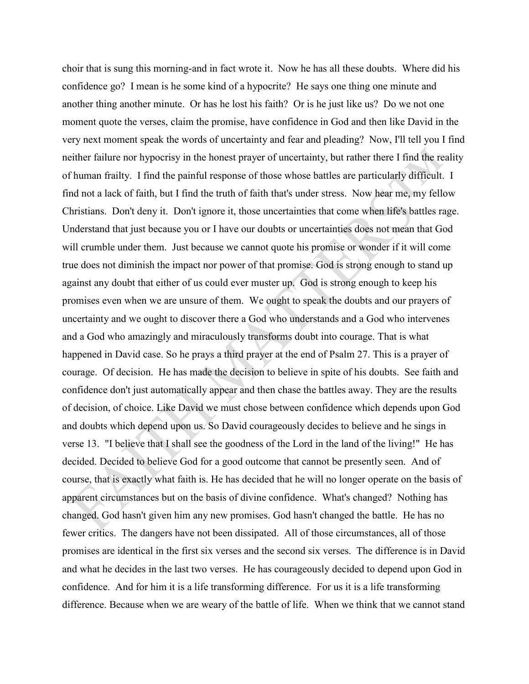choir that is sung this morning-and in fact wrote it. Now he has all these doubts. Where did his confidence go? I mean is he some kind of a hypocrite? He says one thing one minute and another thing another minute. Or has he lost his faith? Or is he just like us? Do we not one moment quote the verses, claim the promise, have confidence in God and then like David in the very next moment speak the words of uncertainty and fear and pleading? Now, I'll tell you I find neither failure nor hypocrisy in the honest prayer of uncertainty, but rather there I find the reality of human frailty. I find the painful response of those whose battles are particularly difficult. I find not a lack of faith, but I find the truth of faith that's under stress. Now hear me, my fellow Christians. Don't deny it. Don't ignore it, those uncertainties that come when life's battles rage. Understand that just because you or I have our doubts or uncertainties does not mean that God will crumble under them. Just because we cannot quote his promise or wonder if it will come true does not diminish the impact nor power of that promise. God is strong enough to stand up against any doubt that either of us could ever muster up. God is strong enough to keep his promises even when we are unsure of them. We ought to speak the doubts and our prayers of uncertainty and we ought to discover there a God who understands and a God who intervenes and a God who amazingly and miraculously transforms doubt into courage. That is what happened in David case. So he prays a third prayer at the end of Psalm 27. This is a prayer of courage. Of decision. He has made the decision to believe in spite of his doubts. See faith and confidence don't just automatically appear and then chase the battles away. They are the results of decision, of choice. Like David we must chose between confidence which depends upon God and doubts which depend upon us. So David courageously decides to believe and he sings in verse 13. "I believe that I shall see the goodness of the Lord in the land of the living!" He has decided. Decided to believe God for a good outcome that cannot be presently seen. And of course, that is exactly what faith is. He has decided that he will no longer operate on the basis of apparent circumstances but on the basis of divine confidence. What's changed? Nothing has changed. God hasn't given him any new promises. God hasn't changed the battle. He has no fewer critics. The dangers have not been dissipated. All of those circumstances, all of those promises are identical in the first six verses and the second six verses. The difference is in David and what he decides in the last two verses. He has courageously decided to depend upon God in confidence. And for him it is a life transforming difference. For us it is a life transforming difference. Because when we are weary of the battle of life. When we think that we cannot stand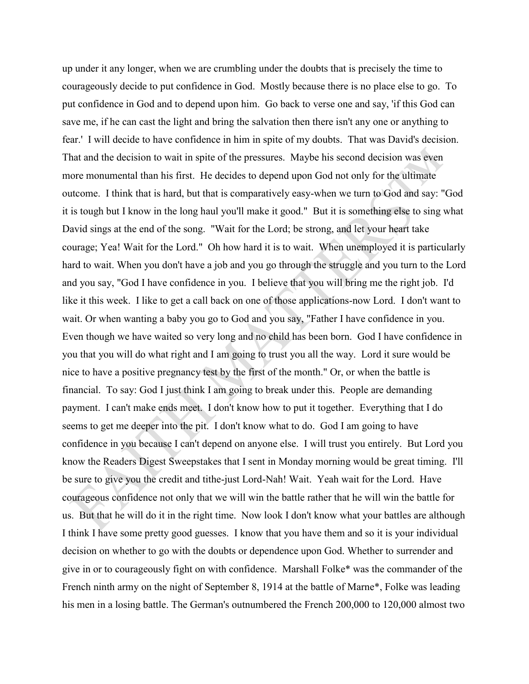up under it any longer, when we are crumbling under the doubts that is precisely the time to courageously decide to put confidence in God. Mostly because there is no place else to go. To put confidence in God and to depend upon him. Go back to verse one and say, 'if this God can save me, if he can cast the light and bring the salvation then there isn't any one or anything to fear.' I will decide to have confidence in him in spite of my doubts. That was David's decision. That and the decision to wait in spite of the pressures. Maybe his second decision was even more monumental than his first. He decides to depend upon God not only for the ultimate outcome. I think that is hard, but that is comparatively easy-when we turn to God and say: "God it is tough but I know in the long haul you'll make it good." But it is something else to sing what David sings at the end of the song. "Wait for the Lord; be strong, and let your heart take courage; Yea! Wait for the Lord." Oh how hard it is to wait. When unemployed it is particularly hard to wait. When you don't have a job and you go through the struggle and you turn to the Lord and you say, "God I have confidence in you. I believe that you will bring me the right job. I'd like it this week. I like to get a call back on one of those applications-now Lord. I don't want to wait. Or when wanting a baby you go to God and you say, "Father I have confidence in you. Even though we have waited so very long and no child has been born. God I have confidence in you that you will do what right and I am going to trust you all the way. Lord it sure would be nice to have a positive pregnancy test by the first of the month." Or, or when the battle is financial. To say: God I just think I am going to break under this. People are demanding payment. I can't make ends meet. I don't know how to put it together. Everything that I do seems to get me deeper into the pit. I don't know what to do. God I am going to have confidence in you because I can't depend on anyone else. I will trust you entirely. But Lord you know the Readers Digest Sweepstakes that I sent in Monday morning would be great timing. I'll be sure to give you the credit and tithe-just Lord-Nah! Wait. Yeah wait for the Lord. Have courageous confidence not only that we will win the battle rather that he will win the battle for us. But that he will do it in the right time. Now look I don't know what your battles are although I think I have some pretty good guesses. I know that you have them and so it is your individual decision on whether to go with the doubts or dependence upon God. Whether to surrender and give in or to courageously fight on with confidence. Marshall Folke\* was the commander of the French ninth army on the night of September 8, 1914 at the battle of Marne\*, Folke was leading his men in a losing battle. The German's outnumbered the French 200,000 to 120,000 almost two